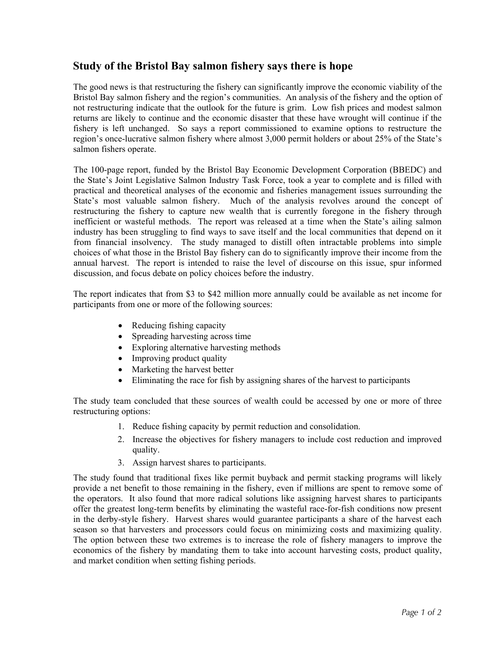## **Study of the Bristol Bay salmon fishery says there is hope**

The good news is that restructuring the fishery can significantly improve the economic viability of the Bristol Bay salmon fishery and the region's communities. An analysis of the fishery and the option of not restructuring indicate that the outlook for the future is grim. Low fish prices and modest salmon returns are likely to continue and the economic disaster that these have wrought will continue if the fishery is left unchanged. So says a report commissioned to examine options to restructure the region's once-lucrative salmon fishery where almost 3,000 permit holders or about 25% of the State's salmon fishers operate.

The 100-page report, funded by the Bristol Bay Economic Development Corporation (BBEDC) and the State's Joint Legislative Salmon Industry Task Force, took a year to complete and is filled with practical and theoretical analyses of the economic and fisheries management issues surrounding the State's most valuable salmon fishery. Much of the analysis revolves around the concept of restructuring the fishery to capture new wealth that is currently foregone in the fishery through inefficient or wasteful methods. The report was released at a time when the State's ailing salmon industry has been struggling to find ways to save itself and the local communities that depend on it from financial insolvency. The study managed to distill often intractable problems into simple choices of what those in the Bristol Bay fishery can do to significantly improve their income from the annual harvest. The report is intended to raise the level of discourse on this issue, spur informed discussion, and focus debate on policy choices before the industry.

The report indicates that from \$3 to \$42 million more annually could be available as net income for participants from one or more of the following sources:

- Reducing fishing capacity
- Spreading harvesting across time
- Exploring alternative harvesting methods
- Improving product quality
- Marketing the harvest better
- Eliminating the race for fish by assigning shares of the harvest to participants

The study team concluded that these sources of wealth could be accessed by one or more of three restructuring options:

- 1. Reduce fishing capacity by permit reduction and consolidation.
- 2. Increase the objectives for fishery managers to include cost reduction and improved quality.
- 3. Assign harvest shares to participants.

The study found that traditional fixes like permit buyback and permit stacking programs will likely provide a net benefit to those remaining in the fishery, even if millions are spent to remove some of the operators. It also found that more radical solutions like assigning harvest shares to participants offer the greatest long-term benefits by eliminating the wasteful race-for-fish conditions now present in the derby-style fishery. Harvest shares would guarantee participants a share of the harvest each season so that harvesters and processors could focus on minimizing costs and maximizing quality. The option between these two extremes is to increase the role of fishery managers to improve the economics of the fishery by mandating them to take into account harvesting costs, product quality, and market condition when setting fishing periods.